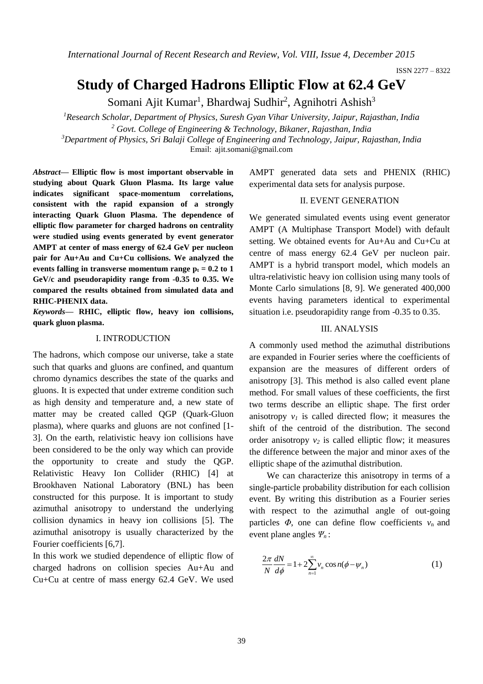*International Journal of Recent Research and Review, Vol. VIII, Issue 4, December 2015*

ISSN 2277 – 8322

# **Study of Charged Hadrons Elliptic Flow at 62.4 GeV**

Somani Ajit Kumar<sup>1</sup>, Bhardwaj Sudhir<sup>2</sup>, Agnihotri Ashish<sup>3</sup>

*<sup>1</sup>Research Scholar, Department of Physics, Suresh Gyan Vihar University, Jaipur, Rajasthan, India <sup>2</sup> Govt. College of Engineering & Technology, Bikaner, Rajasthan, India*

*<sup>3</sup>Department of Physics, Sri Balaji College of Engineering and Technology, Jaipur, Rajasthan, India*

Email: ajit.somani@gmail.com

*Abstract***— Elliptic flow is most important observable in studying about Quark Gluon Plasma. Its large value indicates significant space-momentum correlations, consistent with the rapid expansion of a strongly interacting Quark Gluon Plasma. The dependence of elliptic flow parameter for charged hadrons on centrality were studied using events generated by event generator AMPT at center of mass energy of 62.4 GeV per nucleon pair for Au+Au and Cu+Cu collisions. We analyzed the events falling in transverse momentum range**  $p_t = 0.2$  **to 1 GeV/c and pseudorapidity range from -0.35 to 0.35. We compared the results obtained from simulated data and RHIC-PHENIX data.**

*Keywords***— RHIC, elliptic flow, heavy ion collisions, quark gluon plasma.**

## I. INTRODUCTION

The hadrons, which compose our universe, take a state such that quarks and gluons are confined, and quantum chromo dynamics describes the state of the quarks and gluons. It is expected that under extreme condition such as high density and temperature and, a new state of matter may be created called QGP (Quark-Gluon plasma), where quarks and gluons are not confined [1- 3]. On the earth, relativistic heavy ion collisions have been considered to be the only way which can provide the opportunity to create and study the QGP. Relativistic Heavy Ion Collider (RHIC) [4] at Brookhaven National Laboratory (BNL) has been constructed for this purpose. It is important to study azimuthal anisotropy to understand the underlying collision dynamics in heavy ion collisions [5]. The azimuthal anisotropy is usually characterized by the Fourier coefficients [6,7].

In this work we studied dependence of elliptic flow of charged hadrons on collision species Au+Au and Cu+Cu at centre of mass energy 62.4 GeV. We used

AMPT generated data sets and PHENIX (RHIC) experimental data sets for analysis purpose.

# II. EVENT GENERATION

We generated simulated events using event generator AMPT (A Multiphase Transport Model) with default setting. We obtained events for Au+Au and Cu+Cu at centre of mass energy 62.4 GeV per nucleon pair. AMPT is a hybrid transport model, which models an ultra-relativistic heavy ion collision using many tools of Monte Carlo simulations [8, 9]. We generated 400,000 events having parameters identical to experimental situation i.e. pseudorapidity range from -0.35 to 0.35.

# III. ANALYSIS

A commonly used method the azimuthal distributions are expanded in Fourier series where the coefficients of expansion are the measures of different orders of anisotropy [3]. This method is also called event plane method. For small values of these coefficients, the first two terms describe an elliptic shape. The first order anisotropy  $v_I$  is called directed flow; it measures the shift of the centroid of the distribution. The second order anisotropy  $v_2$  is called elliptic flow; it measures the difference between the major and minor axes of the elliptic shape of the azimuthal distribution.

We can characterize this anisotropy in terms of a single-particle probability distribution for each collision event. By writing this distribution as a Fourier series with respect to the azimuthal angle of out-going particles  $\Phi$ , one can define flow coefficients  $v_n$  and event plane angles *Ψn* :

$$
\frac{2\pi}{N}\frac{dN}{d\phi} = 1 + 2\sum_{n=1}^{\infty} v_n \cos n(\phi - \psi_n)
$$
 (1)